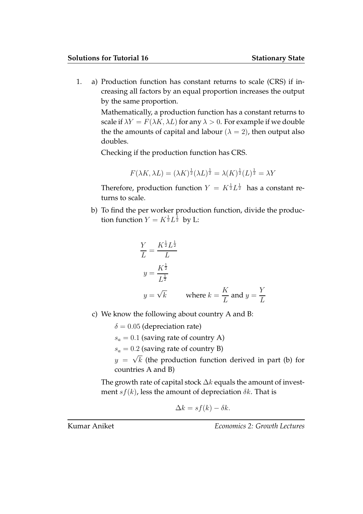1. a) Production function has constant returns to scale (CRS) if increasing all factors by an equal proportion increases the output by the same proportion.

> Mathematically, a production function has a constant returns to scale if  $\lambda Y = F(\lambda K, \lambda L)$  for any  $\lambda > 0$ . For example if we double the the amounts of capital and labour ( $\lambda = 2$ ), then output also doubles.

Checking if the production function has CRS.

$$
F(\lambda K, \lambda L) = (\lambda K)^{\frac{1}{2}} (\lambda L)^{\frac{1}{2}} = \lambda (K)^{\frac{1}{2}} (L)^{\frac{1}{2}} = \lambda Y
$$

Therefore, production function  $Y = K^{\frac{1}{2}} L^{\frac{1}{2}}$  has a constant returns to scale.

b) To find the per worker production function, divide the production function  $Y = K^{\frac{1}{2}} L^{\frac{1}{2}}$  by L:

$$
\frac{Y}{L} = \frac{K^{\frac{1}{2}} L^{\frac{1}{2}}}{L}
$$
  

$$
y = \frac{K^{\frac{1}{2}}}{L^{\frac{1}{2}}}
$$
  

$$
y = \sqrt{k} \qquad \text{where } k = \frac{K}{L} \text{ and } y = \frac{Y}{L}
$$

c) We know the following about country A and B:

 $\delta = 0.05$  (depreciation rate)  $s_a = 0.1$  (saving rate of country A)  $s_a = 0.2$  (saving rate of country B)  $y = \sqrt{k}$  (the production function derived in part (b) for countries A and B)

The growth rate of capital stock  $\Delta k$  equals the amount of investment  $s f(k)$ , less the amount of depreciation  $\delta k$ . That is

$$
\Delta k = s f(k) - \delta k.
$$

Kumar Aniket **Example 2: Except** Economics 2: Growth Lectures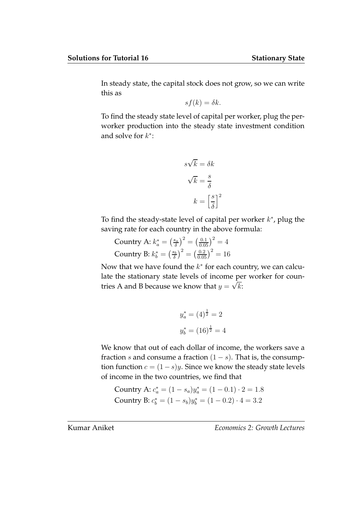In steady state, the capital stock does not grow, so we can write this as

$$
sf(k) = \delta k.
$$

To find the steady state level of capital per worker, plug the perworker production into the steady state investment condition and solve for  $k^*$ :

$$
s\sqrt{k} = \delta k
$$

$$
\sqrt{k} = \frac{s}{\delta}
$$

$$
k = \left[\frac{s}{\delta}\right]^2
$$

To find the steady-state level of capital per worker  $k^*$ , plug the saving rate for each country in the above formula:

Country A:  $k_a^* = \left(\frac{s_a}{\delta}\right)^2 = \left(\frac{0.1}{0.05}\right)^2 = 4$ Country B:  $k_b^* = \left(\frac{s_b}{\delta}\right)^2 = \left(\frac{0.2}{0.05}\right)^2 = 16$ 

Now that we have found the  $k^*$  for each country, we can calculate the stationary state levels of income per worker for countries A and B because we know that  $y = \sqrt{k}$ :

$$
y_a^* = (4)^{\frac{1}{2}} = 2
$$
  

$$
y_b^* = (16)^{\frac{1}{2}} = 4
$$

We know that out of each dollar of income, the workers save a fraction s and consume a fraction  $(1 - s)$ . That is, the consumption function  $c = (1 - s)y$ . Since we know the steady state levels of income in the two countries, we find that

Country A: 
$$
c_a^* = (1 - s_a)y_a^* = (1 - 0.1) \cdot 2 = 1.8
$$
  
Country B:  $c_b^* = (1 - s_b)y_b^* = (1 - 0.2) \cdot 4 = 3.2$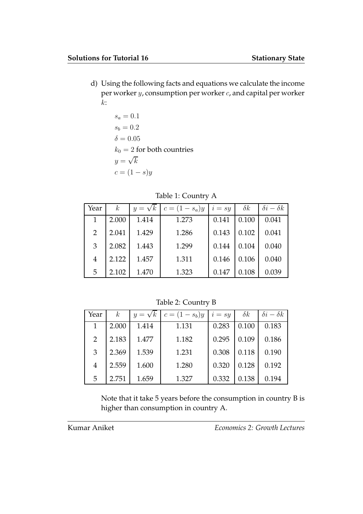d) Using the following facts and equations we calculate the income per worker y, consumption per worker c, and capital per worker  $k$ :

$$
s_a = 0.1
$$
  
\n
$$
s_b = 0.2
$$
  
\n
$$
\delta = 0.05
$$
  
\n
$$
k_0 = 2 \text{ for both countries}
$$
  
\n
$$
y = \sqrt{k}
$$
  
\n
$$
c = (1 - s)y
$$

Table 1: Country A

| Year          | $\boldsymbol{k}$ | $y = \sqrt{k}$ | $c = (1 - s_a)y$ | $i = sy$ | $\delta k$ | $\delta i - \delta k$ |
|---------------|------------------|----------------|------------------|----------|------------|-----------------------|
|               | 2.000            | 1.414          | 1.273            | 0.141    | 0.100      | 0.041                 |
| $\mathcal{P}$ | 2.041            | 1.429          | 1.286            | 0.143    | 0.102      | 0.041                 |
| 3             | 2.082            | 1.443          | 1.299            | 0.144    | 0.104      | 0.040                 |
| 4             | 2.122            | 1.457          | 1.311            | 0.146    | 0.106      | 0.040                 |
| 5             | 2.102            | 1.470          | 1.323            | 0.147    | 0.108      | 0.039                 |

Table 2: Country B

| Year | $\kappa$ | $y = \sqrt{k}$ | $c = (1 - s_b)y$ | $i = s\overline{y}$ | $\delta k$ | $\delta i - \delta k$ |
|------|----------|----------------|------------------|---------------------|------------|-----------------------|
| 1    | 2.000    | 1.414          | 1.131            | 0.283               | 0.100      | 0.183                 |
| 2    | 2.183    | 1.477          | 1.182            | 0.295               | 0.109      | 0.186                 |
| 3    | 2.369    | 1.539          | 1.231            | 0.308               | 0.118      | 0.190                 |
| 4    | 2.559    | 1.600          | 1.280            | 0.320               | 0.128      | 0.192                 |
| 5    | 2.751    | 1.659          | 1.327            | 0.332               | 0.138      | 0.194                 |

Note that it take 5 years before the consumption in country B is higher than consumption in country A.